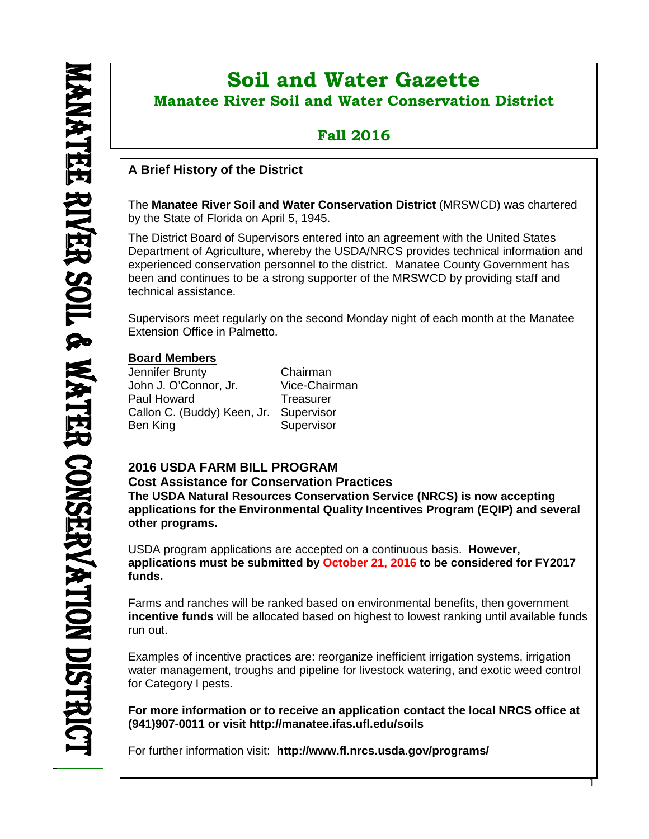ı

# **Soil and Water Gazette Manatee River Soil and Water Conservation District**

# **Fall 2016**

# **A Brief History of the District**

The **Manatee River Soil and Water Conservation District** (MRSWCD) was chartered by the State of Florida on April 5, 1945.

The District Board of Supervisors entered into an agreement with the United States Department of Agriculture, whereby the USDA/NRCS provides technical information and experienced conservation personnel to the district. Manatee County Government has been and continues to be a strong supporter of the MRSWCD by providing staff and technical assistance.

Supervisors meet regularly on the second Monday night of each month at the Manatee Extension Office in Palmetto.

# **Board Members**

**funds.**

Jennifer Brunty Chairman John J. O'Connor, Jr. Paul Howard Treasurer Callon C. (Buddy) Keen, Jr. Supervisor Ben King Supervisor

# **2016 USDA FARM BILL PROGRAM**

**Cost Assistance for Conservation Practices The USDA Natural Resources Conservation Service (NRCS) is now accepting applications for the Environmental Quality Incentives Program (EQIP) and several** 

**other programs.** USDA program applications are accepted on a continuous basis. **However, applications must be submitted by October 21, 2016 to be considered for FY2017**

Farms and ranches will be ranked based on environmental benefits, then government **incentive funds** will be allocated based on highest to lowest ranking until available funds run out.

Examples of incentive practices are: reorganize inefficient irrigation systems, irrigation water management, troughs and pipeline for livestock watering, and exotic weed control for Category I pests.

**For more information or to receive an application contact the local NRCS office at (941)907-0011 or visit http://manatee.ifas.ufl.edu/soils**

For further information visit: **<http://www.fl.nrcs.usda.gov/programs/>**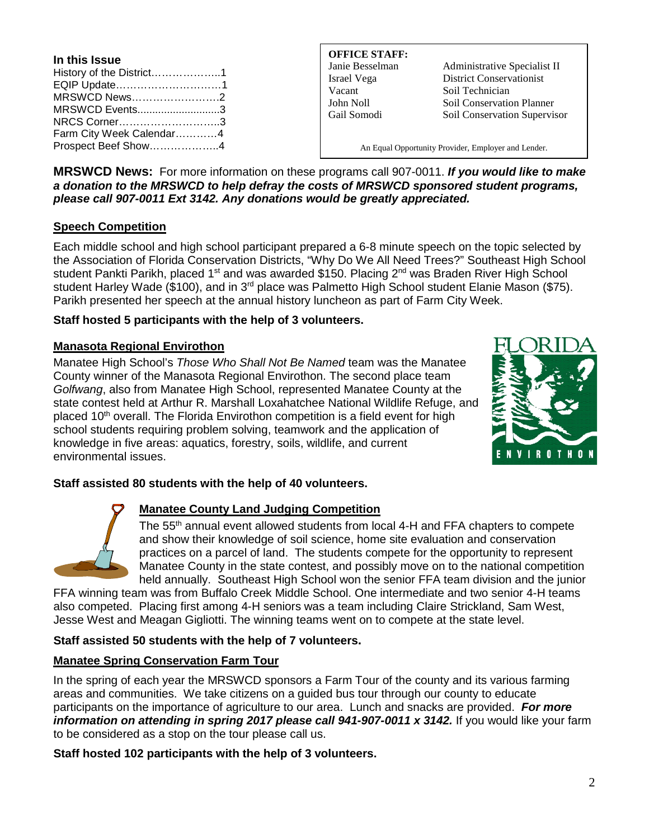| In this Issue            |  |
|--------------------------|--|
| History of the District1 |  |
| EQIP Update1             |  |
| MRSWCD News2             |  |
| MRSWCD Events3           |  |
| NRCS Corner3             |  |
| Farm City Week Calendar4 |  |
| Prospect Beef Show4      |  |

#### **OFFICE STAFF:**

Vacant Soil Technician

Janie Besselman Administrative Specialist II Israel Vega District Conservationist John Noll Soil Conservation Planner Gail Somodi Soil Conservation Supervisor

An Equal Opportunity Provider, Employer and Lender.

**MRSWCD News:** For more information on these programs call 907-0011. *If you would like to make a donation to the MRSWCD to help defray the costs of MRSWCD sponsored student programs, please call 907-0011 Ext 3142. Any donations would be greatly appreciated.*

### **Speech Competition**

Each middle school and high school participant prepared a 6-8 minute speech on the topic selected by the Association of Florida Conservation Districts, "Why Do We All Need Trees?" Southeast High School student Pankti Parikh, placed 1<sup>st</sup> and was awarded \$150. Placing 2<sup>nd</sup> was Braden River High School student Harley Wade (\$100), and in 3<sup>rd</sup> place was Palmetto High School student Elanie Mason (\$75). Parikh presented her speech at the annual history luncheon as part of Farm City Week.

### **Staff hosted 5 participants with the help of 3 volunteers.**

### **Manasota Regional Envirothon**

Manatee High School's *Those Who Shall Not Be Named* team was the Manatee County winner of the Manasota Regional Envirothon. The second place team *Golfwang*, also from Manatee High School, represented Manatee County at the state contest held at Arthur R. Marshall Loxahatchee National Wildlife Refuge, and placed 10<sup>th</sup> overall. The Florida Envirothon competition is a field event for high school students requiring problem solving, teamwork and the application of knowledge in five areas: aquatics, forestry, soils, wildlife, and current environmental issues.



#### **Staff assisted 80 students with the help of 40 volunteers.**



# **Manatee County Land Judging Competition**

The 55<sup>th</sup> annual event allowed students from local 4-H and FFA chapters to compete and show their knowledge of soil science, home site evaluation and conservation practices on a parcel of land. The students compete for the opportunity to represent Manatee County in the state contest, and possibly move on to the national competition held annually. Southeast High School won the senior FFA team division and the junior

FFA winning team was from Buffalo Creek Middle School. One intermediate and two senior 4-H teams also competed. Placing first among 4-H seniors was a team including Claire Strickland, Sam West, Jesse West and Meagan Gigliotti. The winning teams went on to compete at the state level.

#### **Staff assisted 50 students with the help of 7 volunteers.**

# **Manatee Spring Conservation Farm Tour**

In the spring of each year the MRSWCD sponsors a Farm Tour of the county and its various farming areas and communities. We take citizens on a guided bus tour through our county to educate participants on the importance of agriculture to our area. Lunch and snacks are provided. *For more information on attending in spring 2017 please call 941-907-0011 x 3142.* If you would like your farm to be considered as a stop on the tour please call us.

**Staff hosted 102 participants with the help of 3 volunteers.**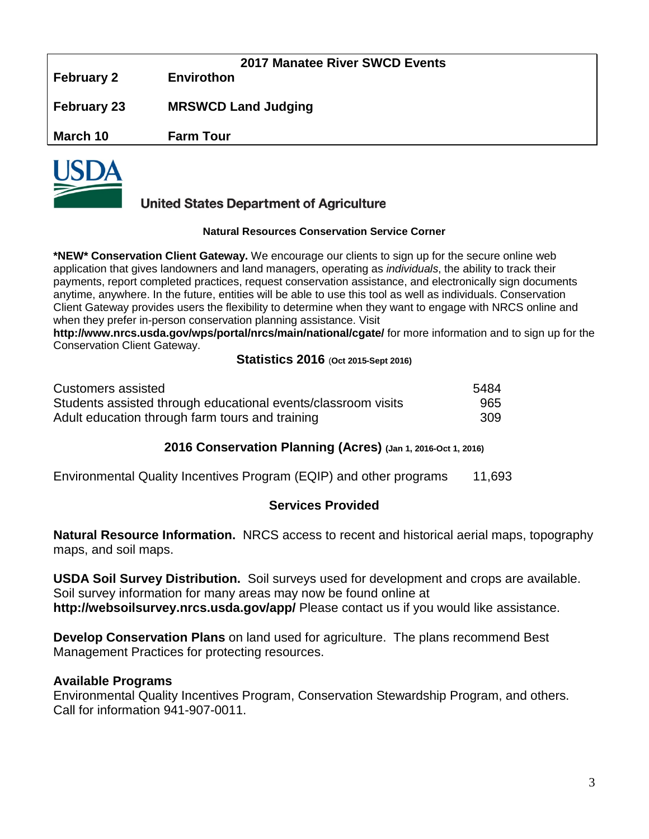|                    | <b>2017 Manatee River SWCD Events</b> |
|--------------------|---------------------------------------|
| <b>February 2</b>  | <b>Envirothon</b>                     |
|                    |                                       |
|                    |                                       |
| <b>February 23</b> | <b>MRSWCD Land Judging</b>            |
|                    |                                       |
| March 10           | <b>Farm Tour</b>                      |
|                    |                                       |
| $\blacksquare$     |                                       |



# **United States Department of Agriculture**

#### **Natural Resources Conservation Service Corner**

**\*NEW\* Conservation Client Gateway.** We encourage our clients to sign up for the secure online web application that gives landowners and land managers, operating as *individuals*, the ability to track their payments, report completed practices, request conservation assistance, and electronically sign documents anytime, anywhere. In the future, entities will be able to use this tool as well as individuals. Conservation Client Gateway provides users the flexibility to determine when they want to engage with NRCS online and when they prefer in-person conservation planning assistance. Visit

**<http://www.nrcs.usda.gov/wps/portal/nrcs/main/national/cgate/>** for more information and to sign up for the Conservation Client Gateway.

#### **Statistics 2016** (**Oct 2015-Sept 2016)**

| Customers assisted                                            | 5484 |
|---------------------------------------------------------------|------|
| Students assisted through educational events/classroom visits | 965  |
| Adult education through farm tours and training               | 309  |

# **2016 Conservation Planning (Acres) (Jan 1, 2016-Oct 1, 2016)**

| Environmental Quality Incentives Program (EQIP) and other programs |  |  |  |  |  |  | 11,693 |
|--------------------------------------------------------------------|--|--|--|--|--|--|--------|
|--------------------------------------------------------------------|--|--|--|--|--|--|--------|

# **Services Provided**

**Natural Resource Information.** NRCS access to recent and historical aerial maps, topography maps, and soil maps.

**USDA Soil Survey Distribution.** Soil surveys used for development and crops are available. Soil survey information for many areas may now be found online at **<http://websoilsurvey.nrcs.usda.gov/app/>** Please contact us if you would like assistance.

**Develop Conservation Plans** on land used for agriculture. The plans recommend Best Management Practices for protecting resources.

#### **Available Programs**

Environmental Quality Incentives Program, Conservation Stewardship Program, and others. Call for information 941-907-0011.